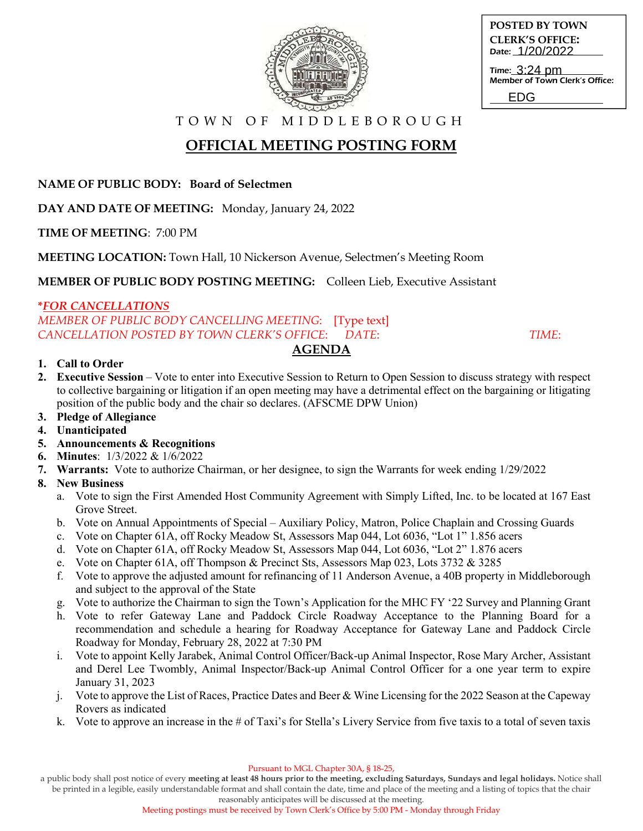

**POSTED BY TOWN CLERK'S OFFICE:** Date: 1/20/2022

Time: 3:24 pm Member of Town Clerk's Office: EDG

T O W N O F M I D D L E B O R O U G H

# **OFFICIAL MEETING POSTING FORM**

**NAME OF PUBLIC BODY: Board of Selectmen**

**DAY AND DATE OF MEETING:** Monday, January 24, 2022

**TIME OF MEETING**: 7:00 PM

**MEETING LOCATION:** Town Hall, 10 Nickerson Avenue, Selectmen's Meeting Room

**MEMBER OF PUBLIC BODY POSTING MEETING:** Colleen Lieb, Executive Assistant

### **\****FOR CANCELLATIONS*

*MEMBER OF PUBLIC BODY CANCELLING MEETING*: [Type text] *CANCELLATION POSTED BY TOWN CLERK'S OFFICE*: *DATE*: *TIME*:

## **AGENDA**

### **1. Call to Order**

- **2. Executive Session**  Vote to enter into Executive Session to Return to Open Session to discuss strategy with respect to collective bargaining or litigation if an open meeting may have a detrimental effect on the bargaining or litigating position of the public body and the chair so declares. (AFSCME DPW Union)
- **3. Pledge of Allegiance**
- **4. Unanticipated**
- **5. Announcements & Recognitions**
- **6. Minutes**: 1/3/2022 & 1/6/2022
- **7. Warrants:** Vote to authorize Chairman, or her designee, to sign the Warrants for week ending 1/29/2022

## **8. New Business**

- a. Vote to sign the First Amended Host Community Agreement with Simply Lifted, Inc. to be located at 167 East Grove Street.
- b. Vote on Annual Appointments of Special Auxiliary Policy, Matron, Police Chaplain and Crossing Guards
- c. Vote on Chapter 61A, off Rocky Meadow St, Assessors Map 044, Lot 6036, "Lot 1" 1.856 acers
- d. Vote on Chapter 61A, off Rocky Meadow St, Assessors Map 044, Lot 6036, "Lot 2" 1.876 acers
- e. Vote on Chapter 61A, off Thompson & Precinct Sts, Assessors Map 023, Lots 3732 & 3285
- f. Vote to approve the adjusted amount for refinancing of 11 Anderson Avenue, a 40B property in Middleborough and subject to the approval of the State
- g. Vote to authorize the Chairman to sign the Town's Application for the MHC FY '22 Survey and Planning Grant
- h. Vote to refer Gateway Lane and Paddock Circle Roadway Acceptance to the Planning Board for a recommendation and schedule a hearing for Roadway Acceptance for Gateway Lane and Paddock Circle Roadway for Monday, February 28, 2022 at 7:30 PM
- i. Vote to appoint Kelly Jarabek, Animal Control Officer/Back-up Animal Inspector, Rose Mary Archer, Assistant and Derel Lee Twombly, Animal Inspector/Back-up Animal Control Officer for a one year term to expire January 31, 2023
- j. Vote to approve the List of Races, Practice Dates and Beer & Wine Licensing for the 2022 Season at the Capeway Rovers as indicated
- k. Vote to approve an increase in the # of Taxi's for Stella's Livery Service from five taxis to a total of seven taxis

a public body shall post notice of every **meeting at least 48 hours prior to the meeting, excluding Saturdays, Sundays and legal holidays.** Notice shall be printed in a legible, easily understandable format and shall contain the date, time and place of the meeting and a listing of topics that the chair